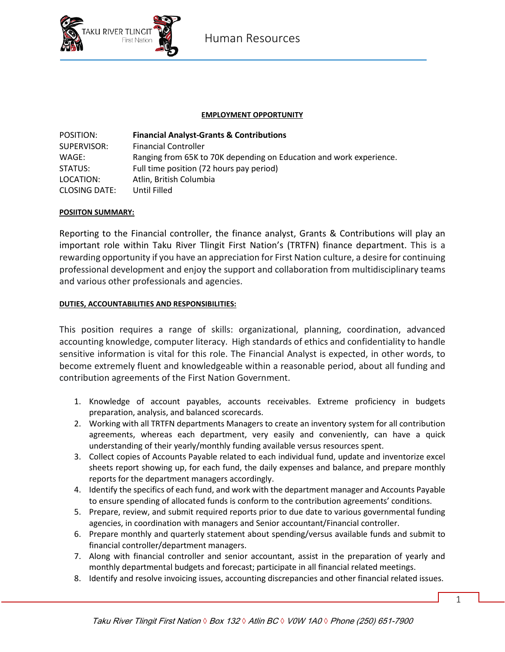

### **EMPLOYMENT OPPORTUNITY**

| POSITION:            | <b>Financial Analyst-Grants &amp; Contributions</b>                 |
|----------------------|---------------------------------------------------------------------|
| SUPERVISOR:          | <b>Financial Controller</b>                                         |
| WAGE:                | Ranging from 65K to 70K depending on Education and work experience. |
| STATUS:              | Full time position (72 hours pay period)                            |
| LOCATION:            | Atlin, British Columbia                                             |
| <b>CLOSING DATE:</b> | Until Filled                                                        |

### **POSIITON SUMMARY:**

Reporting to the Financial controller, the finance analyst, Grants & Contributions will play an important role within Taku River Tlingit First Nation's (TRTFN) finance department. This is a rewarding opportunity if you have an appreciation for First Nation culture, a desire for continuing professional development and enjoy the support and collaboration from multidisciplinary teams and various other professionals and agencies.

### **DUTIES, ACCOUNTABILITIES AND RESPONSIBILITIES:**

This position requires a range of skills: organizational, planning, coordination, advanced accounting knowledge, computer literacy. High standards of ethics and confidentiality to handle sensitive information is vital for this role. The Financial Analyst is expected, in other words, to become extremely fluent and knowledgeable within a reasonable period, about all funding and contribution agreements of the First Nation Government.

- 1. Knowledge of account payables, accounts receivables. Extreme proficiency in budgets preparation, analysis, and balanced scorecards.
- 2. Working with all TRTFN departments Managers to create an inventory system for all contribution agreements, whereas each department, very easily and conveniently, can have a quick understanding of their yearly/monthly funding available versus resources spent.
- 3. Collect copies of Accounts Payable related to each individual fund, update and inventorize excel sheets report showing up, for each fund, the daily expenses and balance, and prepare monthly reports for the department managers accordingly.
- 4. Identify the specifics of each fund, and work with the department manager and Accounts Payable to ensure spending of allocated funds is conform to the contribution agreements' conditions.
- 5. Prepare, review, and submit required reports prior to due date to various governmental funding agencies, in coordination with managers and Senior accountant/Financial controller.
- 6. Prepare monthly and quarterly statement about spending/versus available funds and submit to financial controller/department managers.
- 7. Along with financial controller and senior accountant, assist in the preparation of yearly and monthly departmental budgets and forecast; participate in all financial related meetings.
- 8. Identify and resolve invoicing issues, accounting discrepancies and other financial related issues.

1